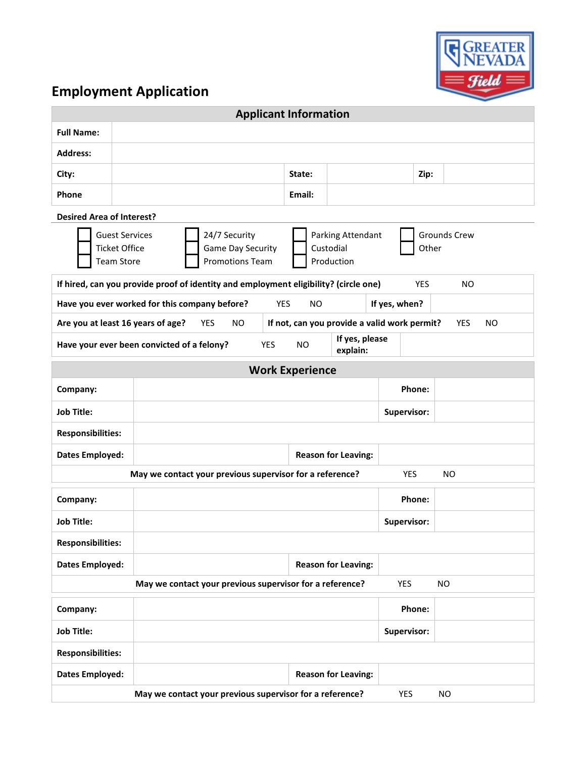

## **Employment Application**

| <b>Applicant Information</b>                                                                                                     |                                                                                                                                                                                                                           |                                                             |  |        |           |        |  |               |             |           |  |
|----------------------------------------------------------------------------------------------------------------------------------|---------------------------------------------------------------------------------------------------------------------------------------------------------------------------------------------------------------------------|-------------------------------------------------------------|--|--------|-----------|--------|--|---------------|-------------|-----------|--|
| <b>Full Name:</b>                                                                                                                |                                                                                                                                                                                                                           |                                                             |  |        |           |        |  |               |             |           |  |
| <b>Address:</b>                                                                                                                  |                                                                                                                                                                                                                           |                                                             |  |        |           |        |  |               |             |           |  |
| City:                                                                                                                            |                                                                                                                                                                                                                           |                                                             |  |        |           | State: |  |               | Zip:        |           |  |
| Phone                                                                                                                            |                                                                                                                                                                                                                           |                                                             |  | Email: |           |        |  |               |             |           |  |
| <b>Desired Area of Interest?</b>                                                                                                 |                                                                                                                                                                                                                           |                                                             |  |        |           |        |  |               |             |           |  |
|                                                                                                                                  | <b>Guest Services</b><br>24/7 Security<br>Parking Attendant<br><b>Grounds Crew</b><br><b>Ticket Office</b><br><b>Game Day Security</b><br>Custodial<br>Other<br><b>Promotions Team</b><br>Production<br><b>Team Store</b> |                                                             |  |        |           |        |  |               |             |           |  |
| If hired, can you provide proof of identity and employment eligibility? (circle one)<br><b>YES</b><br><b>NO</b>                  |                                                                                                                                                                                                                           |                                                             |  |        |           |        |  |               |             |           |  |
|                                                                                                                                  |                                                                                                                                                                                                                           | Have you ever worked for this company before?<br><b>YES</b> |  |        | <b>NO</b> |        |  | If yes, when? |             |           |  |
| Are you at least 16 years of age?<br>YES<br><b>NO</b><br>If not, can you provide a valid work permit?<br><b>YES</b><br><b>NO</b> |                                                                                                                                                                                                                           |                                                             |  |        |           |        |  |               |             |           |  |
| If yes, please<br>Have your ever been convicted of a felony?<br><b>YES</b><br><b>NO</b><br>explain:                              |                                                                                                                                                                                                                           |                                                             |  |        |           |        |  |               |             |           |  |
| <b>Work Experience</b>                                                                                                           |                                                                                                                                                                                                                           |                                                             |  |        |           |        |  |               |             |           |  |
| Company:                                                                                                                         |                                                                                                                                                                                                                           |                                                             |  |        |           |        |  |               | Phone:      |           |  |
| <b>Job Title:</b>                                                                                                                |                                                                                                                                                                                                                           |                                                             |  |        |           |        |  |               | Supervisor: |           |  |
| <b>Responsibilities:</b>                                                                                                         |                                                                                                                                                                                                                           |                                                             |  |        |           |        |  |               |             |           |  |
| <b>Dates Employed:</b><br><b>Reason for Leaving:</b>                                                                             |                                                                                                                                                                                                                           |                                                             |  |        |           |        |  |               |             |           |  |
|                                                                                                                                  |                                                                                                                                                                                                                           | May we contact your previous supervisor for a reference?    |  |        |           |        |  |               | YES         | <b>NO</b> |  |
| Company:                                                                                                                         |                                                                                                                                                                                                                           |                                                             |  |        |           |        |  |               | Phone:      |           |  |
| <b>Job Title:</b>                                                                                                                |                                                                                                                                                                                                                           |                                                             |  |        |           |        |  |               | Supervisor: |           |  |
| <b>Responsibilities:</b>                                                                                                         |                                                                                                                                                                                                                           |                                                             |  |        |           |        |  |               |             |           |  |
| <b>Dates Employed:</b><br><b>Reason for Leaving:</b>                                                                             |                                                                                                                                                                                                                           |                                                             |  |        |           |        |  |               |             |           |  |
| May we contact your previous supervisor for a reference?<br>YES<br><b>NO</b>                                                     |                                                                                                                                                                                                                           |                                                             |  |        |           |        |  |               |             |           |  |
| Company:                                                                                                                         |                                                                                                                                                                                                                           |                                                             |  |        |           |        |  |               | Phone:      |           |  |
| <b>Job Title:</b><br>Supervisor:                                                                                                 |                                                                                                                                                                                                                           |                                                             |  |        |           |        |  |               |             |           |  |
| <b>Responsibilities:</b>                                                                                                         |                                                                                                                                                                                                                           |                                                             |  |        |           |        |  |               |             |           |  |
| <b>Dates Employed:</b>                                                                                                           |                                                                                                                                                                                                                           | <b>Reason for Leaving:</b>                                  |  |        |           |        |  |               |             |           |  |
| May we contact your previous supervisor for a reference?<br>YES<br>NO.                                                           |                                                                                                                                                                                                                           |                                                             |  |        |           |        |  |               |             |           |  |